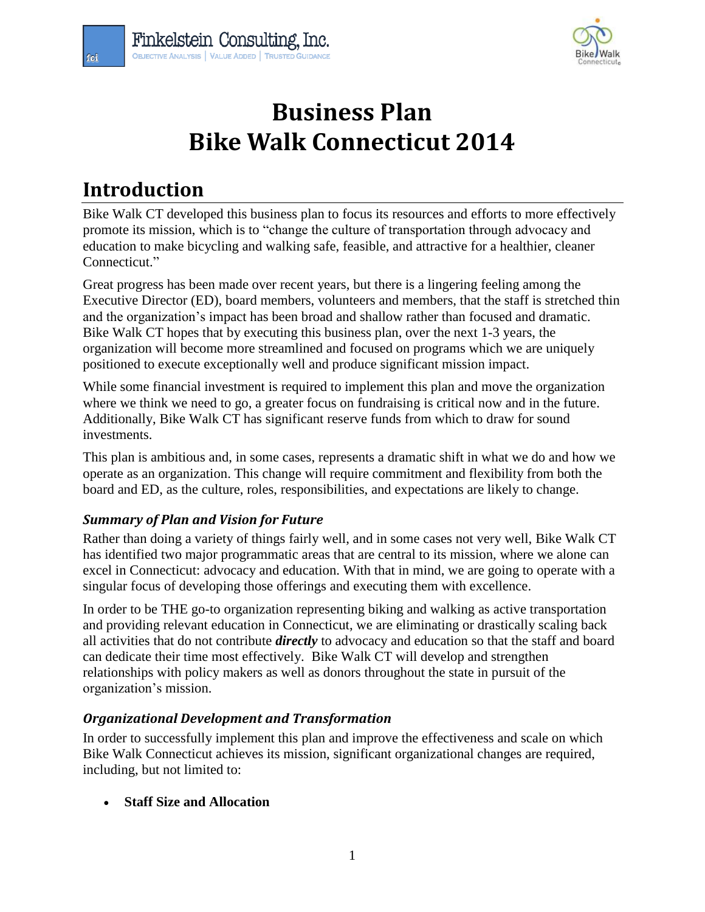

# **Business Plan Bike Walk Connecticut 2014**

# **Introduction**

Bike Walk CT developed this business plan to focus its resources and efforts to more effectively promote its mission, which is to "change the culture of transportation through advocacy and education to make bicycling and walking safe, feasible, and attractive for a healthier, cleaner Connecticut."

Great progress has been made over recent years, but there is a lingering feeling among the Executive Director (ED), board members, volunteers and members, that the staff is stretched thin and the organization's impact has been broad and shallow rather than focused and dramatic. Bike Walk CT hopes that by executing this business plan, over the next 1-3 years, the organization will become more streamlined and focused on programs which we are uniquely positioned to execute exceptionally well and produce significant mission impact.

While some financial investment is required to implement this plan and move the organization where we think we need to go, a greater focus on fundraising is critical now and in the future. Additionally, Bike Walk CT has significant reserve funds from which to draw for sound investments.

This plan is ambitious and, in some cases, represents a dramatic shift in what we do and how we operate as an organization. This change will require commitment and flexibility from both the board and ED, as the culture, roles, responsibilities, and expectations are likely to change.

# *Summary of Plan and Vision for Future*

Rather than doing a variety of things fairly well, and in some cases not very well, Bike Walk CT has identified two major programmatic areas that are central to its mission, where we alone can excel in Connecticut: advocacy and education. With that in mind, we are going to operate with a singular focus of developing those offerings and executing them with excellence.

In order to be THE go-to organization representing biking and walking as active transportation and providing relevant education in Connecticut, we are eliminating or drastically scaling back all activities that do not contribute *directly* to advocacy and education so that the staff and board can dedicate their time most effectively. Bike Walk CT will develop and strengthen relationships with policy makers as well as donors throughout the state in pursuit of the organization's mission.

#### *Organizational Development and Transformation*

In order to successfully implement this plan and improve the effectiveness and scale on which Bike Walk Connecticut achieves its mission, significant organizational changes are required, including, but not limited to:

**Staff Size and Allocation**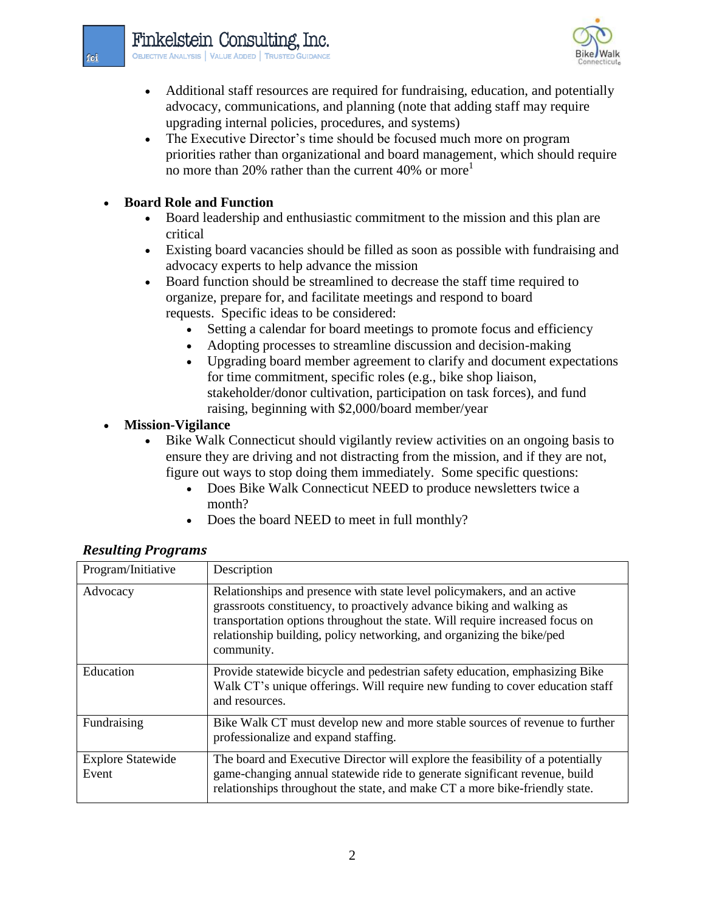

- Additional staff resources are required for fundraising, education, and potentially advocacy, communications, and planning (note that adding staff may require upgrading internal policies, procedures, and systems)
- The Executive Director's time should be focused much more on program priorities rather than organizational and board management, which should require no more than 20% rather than the current  $40\%$  or more<sup>1</sup>

### **Board Role and Function**

- Board leadership and enthusiastic commitment to the mission and this plan are critical
- Existing board vacancies should be filled as soon as possible with fundraising and advocacy experts to help advance the mission
- Board function should be streamlined to decrease the staff time required to organize, prepare for, and facilitate meetings and respond to board requests. Specific ideas to be considered:
	- Setting a calendar for board meetings to promote focus and efficiency
	- Adopting processes to streamline discussion and decision-making
	- Upgrading board member agreement to clarify and document expectations for time commitment, specific roles (e.g., bike shop liaison, stakeholder/donor cultivation, participation on task forces), and fund raising, beginning with \$2,000/board member/year

#### **Mission-Vigilance**

- Bike Walk Connecticut should vigilantly review activities on an ongoing basis to ensure they are driving and not distracting from the mission, and if they are not, figure out ways to stop doing them immediately. Some specific questions:
	- Does Bike Walk Connecticut NEED to produce newsletters twice a month?
	- Does the board NEED to meet in full monthly?

| Program/Initiative                | Description                                                                                                                                                                                                                                                                                                             |
|-----------------------------------|-------------------------------------------------------------------------------------------------------------------------------------------------------------------------------------------------------------------------------------------------------------------------------------------------------------------------|
| Advocacy                          | Relationships and presence with state level policymakers, and an active<br>grassroots constituency, to proactively advance biking and walking as<br>transportation options throughout the state. Will require increased focus on<br>relationship building, policy networking, and organizing the bike/ped<br>community. |
| Education                         | Provide statewide bicycle and pedestrian safety education, emphasizing Bike<br>Walk CT's unique offerings. Will require new funding to cover education staff<br>and resources.                                                                                                                                          |
| Fundraising                       | Bike Walk CT must develop new and more stable sources of revenue to further<br>professionalize and expand staffing.                                                                                                                                                                                                     |
| <b>Explore Statewide</b><br>Event | The board and Executive Director will explore the feasibility of a potentially<br>game-changing annual statewide ride to generate significant revenue, build<br>relationships throughout the state, and make CT a more bike-friendly state.                                                                             |

# *Resulting Programs*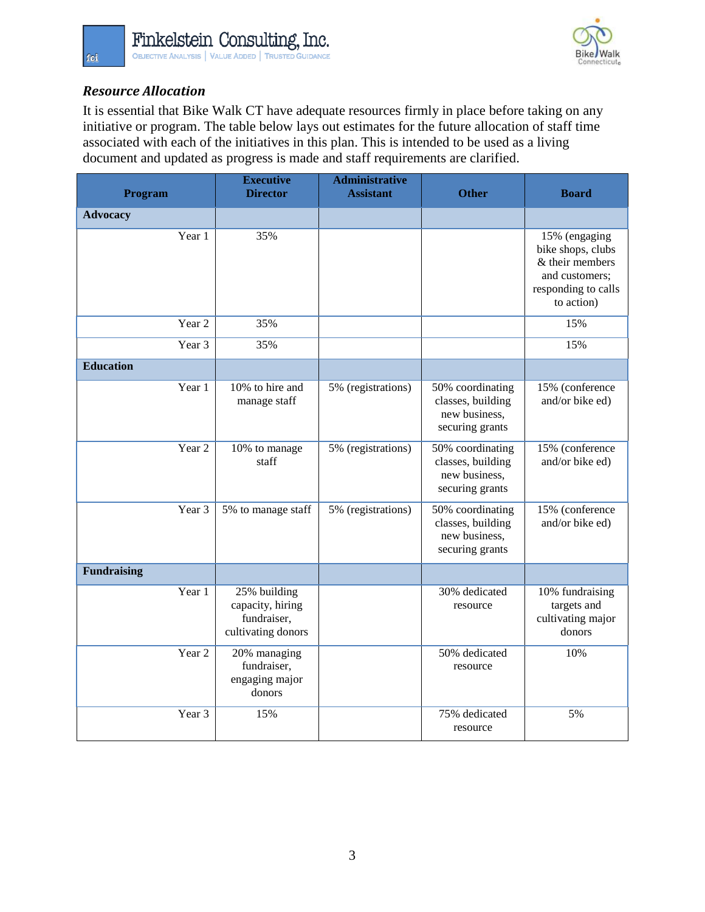

# *Resource Allocation*

It is essential that Bike Walk CT have adequate resources firmly in place before taking on any initiative or program. The table below lays out estimates for the future allocation of staff time associated with each of the initiatives in this plan. This is intended to be used as a living document and updated as progress is made and staff requirements are clarified.

| Program                      | <b>Executive</b><br><b>Director</b>                                   | <b>Administrative</b><br><b>Assistant</b> | <b>Other</b>                                                              | <b>Board</b>                                                                                                 |
|------------------------------|-----------------------------------------------------------------------|-------------------------------------------|---------------------------------------------------------------------------|--------------------------------------------------------------------------------------------------------------|
| <b>Advocacy</b>              |                                                                       |                                           |                                                                           |                                                                                                              |
| Year 1                       | 35%                                                                   |                                           |                                                                           | 15% (engaging<br>bike shops, clubs<br>& their members<br>and customers;<br>responding to calls<br>to action) |
| Year <sub>2</sub>            | 35%                                                                   |                                           |                                                                           | 15%                                                                                                          |
| Year 3                       | 35%                                                                   |                                           |                                                                           | 15%                                                                                                          |
| <b>Education</b>             |                                                                       |                                           |                                                                           |                                                                                                              |
| Year 1                       | 10% to hire and<br>manage staff                                       |                                           | 50% coordinating<br>classes, building<br>new business,<br>securing grants | 15% (conference<br>and/or bike ed)                                                                           |
| Year <sub>2</sub>            | 10% to manage<br>staff                                                |                                           | 50% coordinating<br>classes, building<br>new business.<br>securing grants | 15% (conference<br>and/or bike ed)                                                                           |
| Year 3<br>5% to manage staff |                                                                       | 5% (registrations)                        | 50% coordinating<br>classes, building<br>new business,<br>securing grants | 15% (conference<br>and/or bike ed)                                                                           |
| <b>Fundraising</b>           |                                                                       |                                           |                                                                           |                                                                                                              |
| Year 1                       | 25% building<br>capacity, hiring<br>fundraiser,<br>cultivating donors |                                           | 30% dedicated<br>resource                                                 | 10% fundraising<br>targets and<br>cultivating major<br>donors                                                |
| Year <sub>2</sub>            | 20% managing<br>fundraiser,<br>engaging major<br>donors               |                                           | 50% dedicated<br>resource                                                 | 10%                                                                                                          |
| Year 3<br>15%                |                                                                       |                                           | 75% dedicated<br>resource                                                 | 5%                                                                                                           |

fci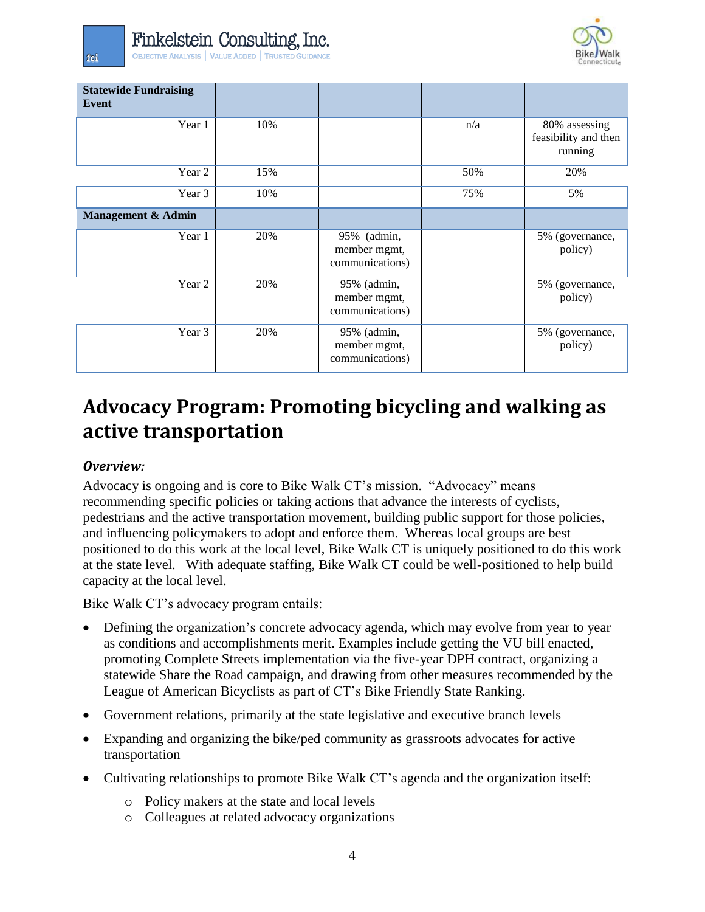

| <b>Statewide Fundraising</b><br>Event |     |                                                |     |                                                  |
|---------------------------------------|-----|------------------------------------------------|-----|--------------------------------------------------|
| Year 1                                | 10% |                                                | n/a | 80% assessing<br>feasibility and then<br>running |
| Year 2                                | 15% |                                                | 50% | 20%                                              |
| Year 3                                | 10% |                                                | 75% | 5%                                               |
| Management & Admin                    |     |                                                |     |                                                  |
| Year 1                                | 20% | 95% (admin,<br>member mgmt,<br>communications) |     | 5% (governance,<br>policy)                       |
| Year 2                                | 20% | 95% (admin,<br>member mgmt,<br>communications) |     | 5% (governance,<br>policy)                       |
| Year 3                                | 20% | 95% (admin,<br>member mgmt,<br>communications) |     | 5% (governance,<br>policy)                       |

# **Advocacy Program: Promoting bicycling and walking as active transportation**

#### *Overview:*

Advocacy is ongoing and is core to Bike Walk CT's mission. "Advocacy" means recommending specific policies or taking actions that advance the interests of cyclists, pedestrians and the active transportation movement, building public support for those policies, and influencing policymakers to adopt and enforce them. Whereas local groups are best positioned to do this work at the local level, Bike Walk CT is uniquely positioned to do this work at the state level. With adequate staffing, Bike Walk CT could be well-positioned to help build capacity at the local level.

Bike Walk CT's advocacy program entails:

- Defining the organization's concrete advocacy agenda, which may evolve from year to year as conditions and accomplishments merit. Examples include getting the VU bill enacted, promoting Complete Streets implementation via the five-year DPH contract, organizing a statewide Share the Road campaign, and drawing from other measures recommended by the League of American Bicyclists as part of CT's Bike Friendly State Ranking.
- Government relations, primarily at the state legislative and executive branch levels
- Expanding and organizing the bike/ped community as grassroots advocates for active transportation
- Cultivating relationships to promote Bike Walk CT's agenda and the organization itself:
	- o Policy makers at the state and local levels
	- o Colleagues at related advocacy organizations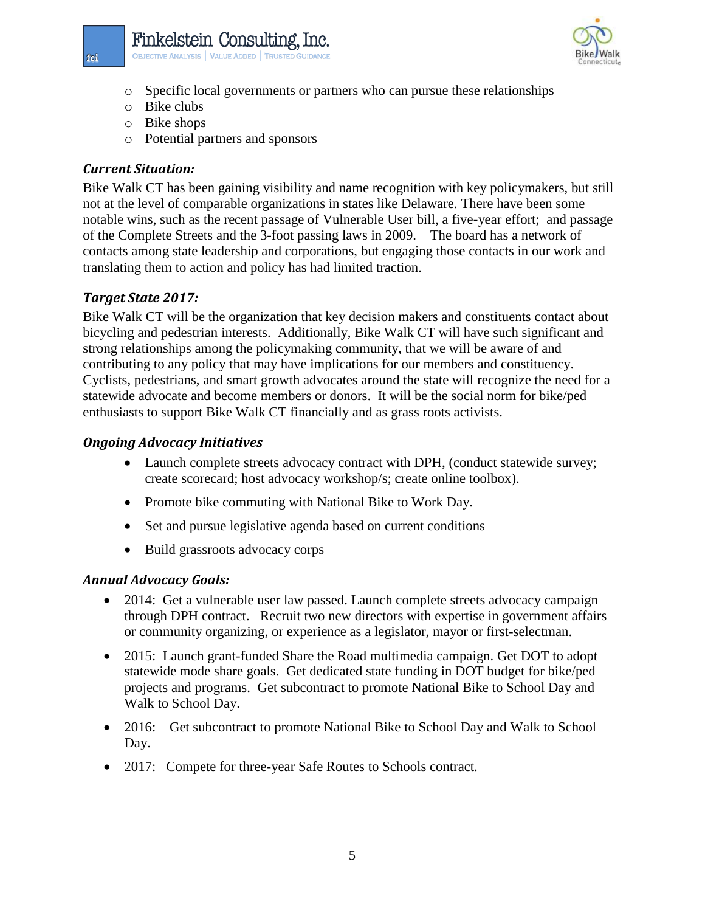- o Specific local governments or partners who can pursue these relationships
- o Bike clubs
- o Bike shops
- o Potential partners and sponsors

Finkelstein Consulting Inc. **OBJECTIVE ANALYSIS | VALUE ADDED | TRUSTED GUIDANCE** 

#### *Current Situation:*

Bike Walk CT has been gaining visibility and name recognition with key policymakers, but still not at the level of comparable organizations in states like Delaware. There have been some notable wins, such as the recent passage of Vulnerable User bill, a five-year effort; and passage of the Complete Streets and the 3-foot passing laws in 2009. The board has a network of contacts among state leadership and corporations, but engaging those contacts in our work and translating them to action and policy has had limited traction.

#### *Target State 2017:*

Bike Walk CT will be the organization that key decision makers and constituents contact about bicycling and pedestrian interests. Additionally, Bike Walk CT will have such significant and strong relationships among the policymaking community, that we will be aware of and contributing to any policy that may have implications for our members and constituency. Cyclists, pedestrians, and smart growth advocates around the state will recognize the need for a statewide advocate and become members or donors. It will be the social norm for bike/ped enthusiasts to support Bike Walk CT financially and as grass roots activists.

#### *Ongoing Advocacy Initiatives*

- Launch complete streets advocacy contract with DPH, (conduct statewide survey; create scorecard; host advocacy workshop/s; create online toolbox).
- Promote bike commuting with National Bike to Work Day.
- Set and pursue legislative agenda based on current conditions
- Build grassroots advocacy corps

#### *Annual Advocacy Goals:*

- 2014: Get a vulnerable user law passed. Launch complete streets advocacy campaign through DPH contract. Recruit two new directors with expertise in government affairs or community organizing, or experience as a legislator, mayor or first-selectman.
- 2015: Launch grant-funded Share the Road multimedia campaign. Get DOT to adopt statewide mode share goals. Get dedicated state funding in DOT budget for bike/ped projects and programs. Get subcontract to promote National Bike to School Day and Walk to School Day.
- 2016: Get subcontract to promote National Bike to School Day and Walk to School Day.
- 2017: Compete for three-year Safe Routes to Schools contract.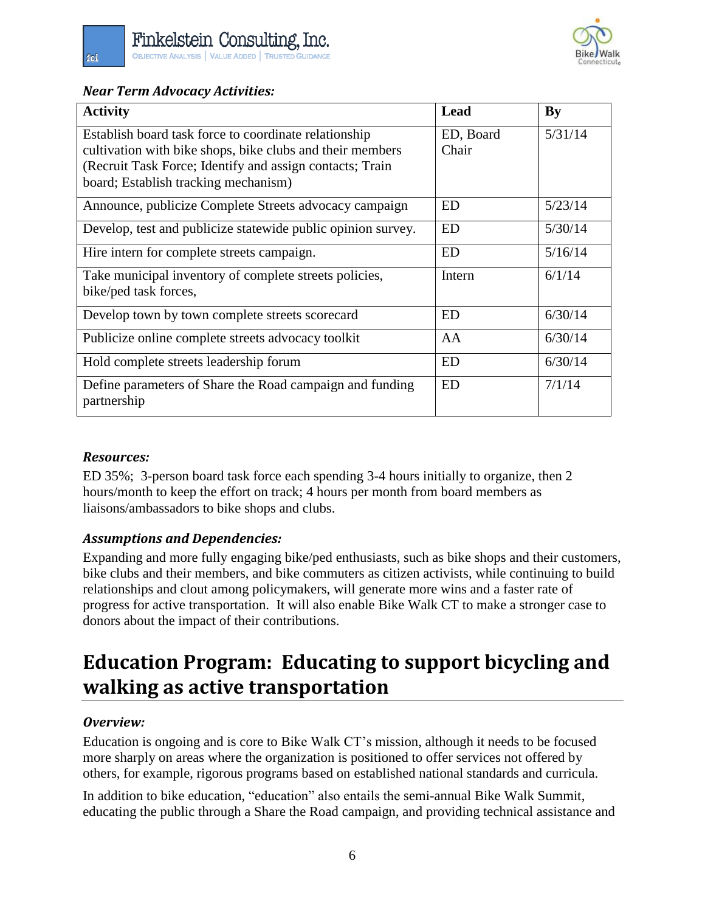

#### *Near Term Advocacy Activities:*

fci

| <b>Activity</b>                                                                                                    | Lead               | By      |
|--------------------------------------------------------------------------------------------------------------------|--------------------|---------|
| Establish board task force to coordinate relationship<br>cultivation with bike shops, bike clubs and their members | ED, Board<br>Chair | 5/31/14 |
| (Recruit Task Force; Identify and assign contacts; Train<br>board; Establish tracking mechanism)                   |                    |         |
| Announce, publicize Complete Streets advocacy campaign                                                             | <b>ED</b>          | 5/23/14 |
| Develop, test and publicize statewide public opinion survey.                                                       | <b>ED</b>          | 5/30/14 |
| Hire intern for complete streets campaign.                                                                         | ED                 | 5/16/14 |
| Take municipal inventory of complete streets policies,<br>bike/ped task forces,                                    | Intern             | 6/1/14  |
| Develop town by town complete streets scorecard                                                                    | <b>ED</b>          | 6/30/14 |
| Publicize online complete streets advocacy toolkit                                                                 | AA                 | 6/30/14 |
| Hold complete streets leadership forum                                                                             | <b>ED</b>          | 6/30/14 |
| Define parameters of Share the Road campaign and funding<br>partnership                                            | <b>ED</b>          | 7/1/14  |

#### *Resources:*

ED 35%; 3-person board task force each spending 3-4 hours initially to organize, then 2 hours/month to keep the effort on track; 4 hours per month from board members as liaisons/ambassadors to bike shops and clubs.

# *Assumptions and Dependencies:*

Expanding and more fully engaging bike/ped enthusiasts, such as bike shops and their customers, bike clubs and their members, and bike commuters as citizen activists, while continuing to build relationships and clout among policymakers, will generate more wins and a faster rate of progress for active transportation. It will also enable Bike Walk CT to make a stronger case to donors about the impact of their contributions.

# **Education Program: Educating to support bicycling and walking as active transportation**

#### *Overview:*

Education is ongoing and is core to Bike Walk CT's mission, although it needs to be focused more sharply on areas where the organization is positioned to offer services not offered by others, for example, rigorous programs based on established national standards and curricula.

In addition to bike education, "education" also entails the semi-annual Bike Walk Summit, educating the public through a Share the Road campaign, and providing technical assistance and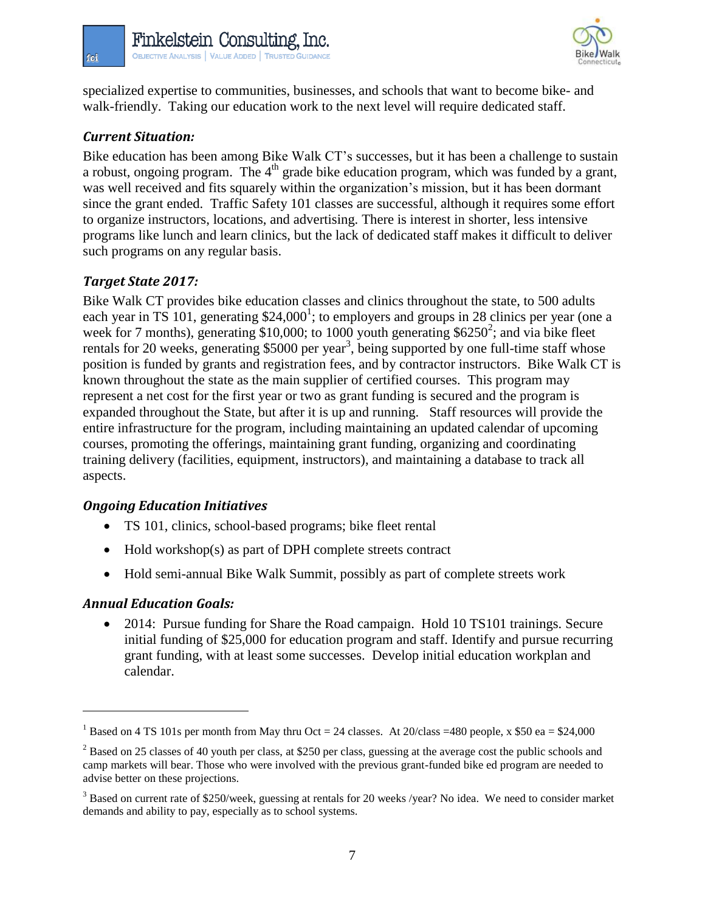

specialized expertise to communities, businesses, and schools that want to become bike- and walk-friendly. Taking our education work to the next level will require dedicated staff.

### *Current Situation:*

fci

Bike education has been among Bike Walk CT's successes, but it has been a challenge to sustain a robust, ongoing program. The  $4<sup>th</sup>$  grade bike education program, which was funded by a grant, was well received and fits squarely within the organization's mission, but it has been dormant since the grant ended. Traffic Safety 101 classes are successful, although it requires some effort to organize instructors, locations, and advertising. There is interest in shorter, less intensive programs like lunch and learn clinics, but the lack of dedicated staff makes it difficult to deliver such programs on any regular basis.

#### *Target State 2017:*

Bike Walk CT provides bike education classes and clinics throughout the state, to 500 adults each year in TS 101, generating  $$24,000^1$ ; to employers and groups in 28 clinics per year (one a week for 7 months), generating \$10,000; to 1000 youth generating  $$6250^2$ ; and via bike fleet rentals for 20 weeks, generating \$5000 per year<sup>3</sup>, being supported by one full-time staff whose position is funded by grants and registration fees, and by contractor instructors. Bike Walk CT is known throughout the state as the main supplier of certified courses. This program may represent a net cost for the first year or two as grant funding is secured and the program is expanded throughout the State, but after it is up and running. Staff resources will provide the entire infrastructure for the program, including maintaining an updated calendar of upcoming courses, promoting the offerings, maintaining grant funding, organizing and coordinating training delivery (facilities, equipment, instructors), and maintaining a database to track all aspects.

#### *Ongoing Education Initiatives*

- TS 101, clinics, school-based programs; bike fleet rental
- Hold workshop(s) as part of DPH complete streets contract
- Hold semi-annual Bike Walk Summit, possibly as part of complete streets work

# *Annual Education Goals:*

 $\overline{a}$ 

 2014: Pursue funding for Share the Road campaign. Hold 10 TS101 trainings. Secure initial funding of \$25,000 for education program and staff. Identify and pursue recurring grant funding, with at least some successes. Develop initial education workplan and calendar.

<sup>&</sup>lt;sup>1</sup> Based on 4 TS 101s per month from May thru Oct = 24 classes. At 20/class = 480 people, x \$50 ea = \$24,000

<sup>&</sup>lt;sup>2</sup> Based on 25 classes of 40 youth per class, at \$250 per class, guessing at the average cost the public schools and camp markets will bear. Those who were involved with the previous grant-funded bike ed program are needed to advise better on these projections.

<sup>&</sup>lt;sup>3</sup> Based on current rate of \$250/week, guessing at rentals for 20 weeks /year? No idea. We need to consider market demands and ability to pay, especially as to school systems.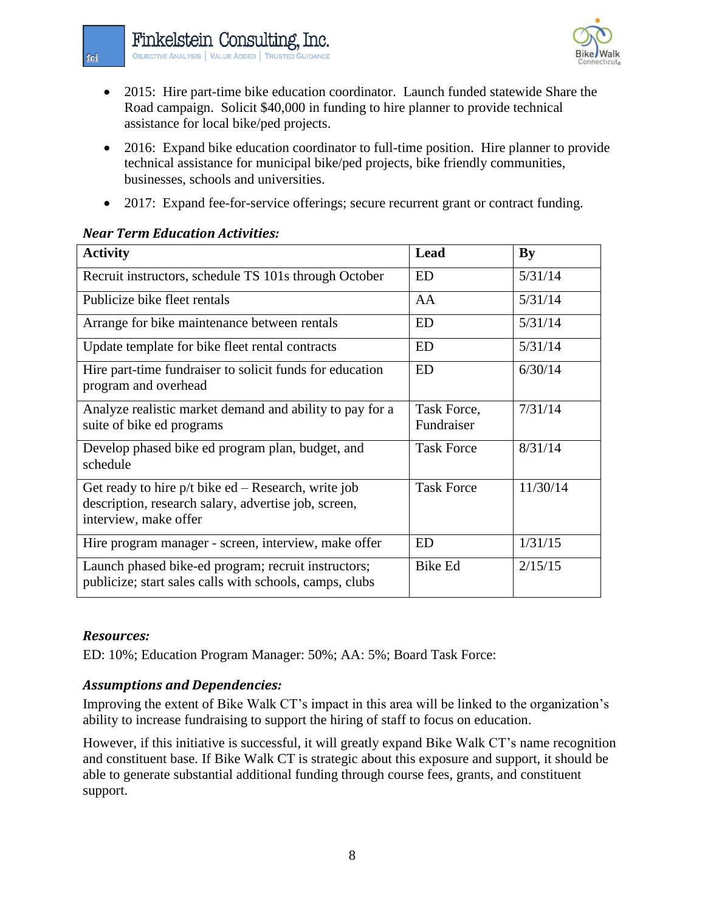

- 2015: Hire part-time bike education coordinator. Launch funded statewide Share the Road campaign. Solicit \$40,000 in funding to hire planner to provide technical assistance for local bike/ped projects.
- 2016: Expand bike education coordinator to full-time position. Hire planner to provide technical assistance for municipal bike/ped projects, bike friendly communities, businesses, schools and universities.
- 2017: Expand fee-for-service offerings; secure recurrent grant or contract funding.

#### *Near Term Education Activities:*

| <b>Activity</b>                                                                                                                      | Lead                      | <b>By</b> |
|--------------------------------------------------------------------------------------------------------------------------------------|---------------------------|-----------|
| Recruit instructors, schedule TS 101s through October                                                                                | <b>ED</b>                 | 5/31/14   |
| Publicize bike fleet rentals                                                                                                         | AA                        | 5/31/14   |
| Arrange for bike maintenance between rentals                                                                                         | <b>ED</b>                 | 5/31/14   |
| Update template for bike fleet rental contracts                                                                                      | <b>ED</b>                 | 5/31/14   |
| Hire part-time fundraiser to solicit funds for education<br>program and overhead                                                     | <b>ED</b>                 | 6/30/14   |
| Analyze realistic market demand and ability to pay for a<br>suite of bike ed programs                                                | Task Force,<br>Fundraiser | 7/31/14   |
| Develop phased bike ed program plan, budget, and<br>schedule                                                                         | <b>Task Force</b>         | 8/31/14   |
| Get ready to hire p/t bike ed – Research, write job<br>description, research salary, advertise job, screen,<br>interview, make offer | <b>Task Force</b>         | 11/30/14  |
| Hire program manager - screen, interview, make offer                                                                                 | ED                        | 1/31/15   |
| Launch phased bike-ed program; recruit instructors;<br>publicize; start sales calls with schools, camps, clubs                       | <b>Bike Ed</b>            | 2/15/15   |

#### *Resources:*

ED: 10%; Education Program Manager: 50%; AA: 5%; Board Task Force:

# *Assumptions and Dependencies:*

Improving the extent of Bike Walk CT's impact in this area will be linked to the organization's ability to increase fundraising to support the hiring of staff to focus on education.

However, if this initiative is successful, it will greatly expand Bike Walk CT's name recognition and constituent base. If Bike Walk CT is strategic about this exposure and support, it should be able to generate substantial additional funding through course fees, grants, and constituent support.

fci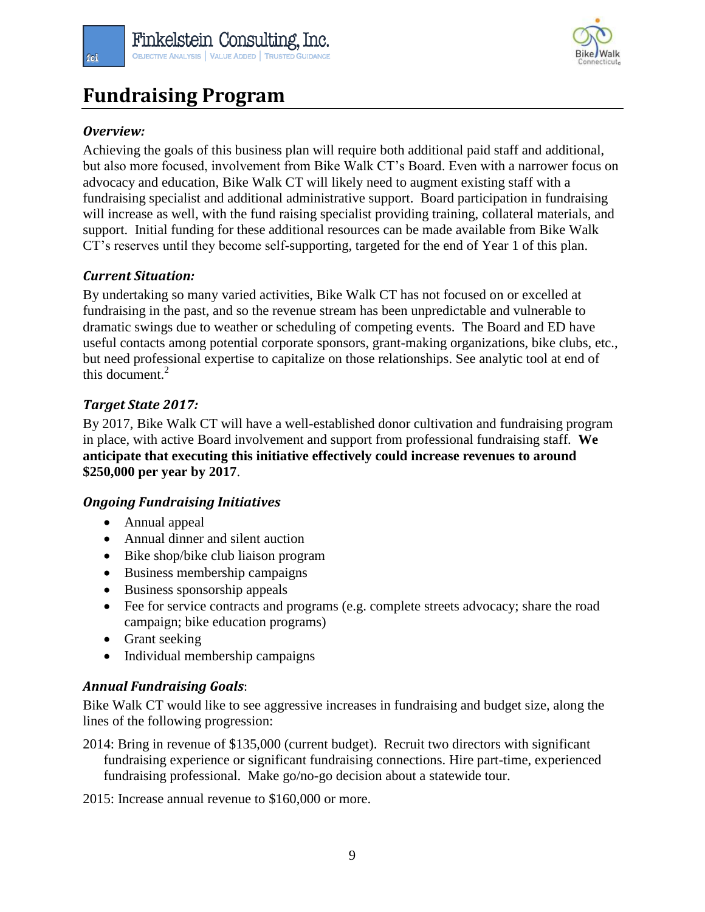

# **Fundraising Program**

# *Overview:*

Achieving the goals of this business plan will require both additional paid staff and additional, but also more focused, involvement from Bike Walk CT's Board. Even with a narrower focus on advocacy and education, Bike Walk CT will likely need to augment existing staff with a fundraising specialist and additional administrative support. Board participation in fundraising will increase as well, with the fund raising specialist providing training, collateral materials, and support. Initial funding for these additional resources can be made available from Bike Walk CT's reserves until they become self-supporting, targeted for the end of Year 1 of this plan.

#### *Current Situation:*

By undertaking so many varied activities, Bike Walk CT has not focused on or excelled at fundraising in the past, and so the revenue stream has been unpredictable and vulnerable to dramatic swings due to weather or scheduling of competing events. The Board and ED have useful contacts among potential corporate sponsors, grant-making organizations, bike clubs, etc., but need professional expertise to capitalize on those relationships. See analytic tool at end of this document.<sup>2</sup>

# *Target State 2017:*

By 2017, Bike Walk CT will have a well-established donor cultivation and fundraising program in place, with active Board involvement and support from professional fundraising staff. **We anticipate that executing this initiative effectively could increase revenues to around \$250,000 per year by 2017**.

#### *Ongoing Fundraising Initiatives*

- Annual appeal
- Annual dinner and silent auction
- Bike shop/bike club liaison program
- Business membership campaigns
- Business sponsorship appeals
- Fee for service contracts and programs (e.g. complete streets advocacy; share the road campaign; bike education programs)
- Grant seeking
- Individual membership campaigns

# *Annual Fundraising Goals*:

Bike Walk CT would like to see aggressive increases in fundraising and budget size, along the lines of the following progression:

2014: Bring in revenue of \$135,000 (current budget). Recruit two directors with significant fundraising experience or significant fundraising connections. Hire part-time, experienced fundraising professional. Make go/no-go decision about a statewide tour.

2015: Increase annual revenue to \$160,000 or more.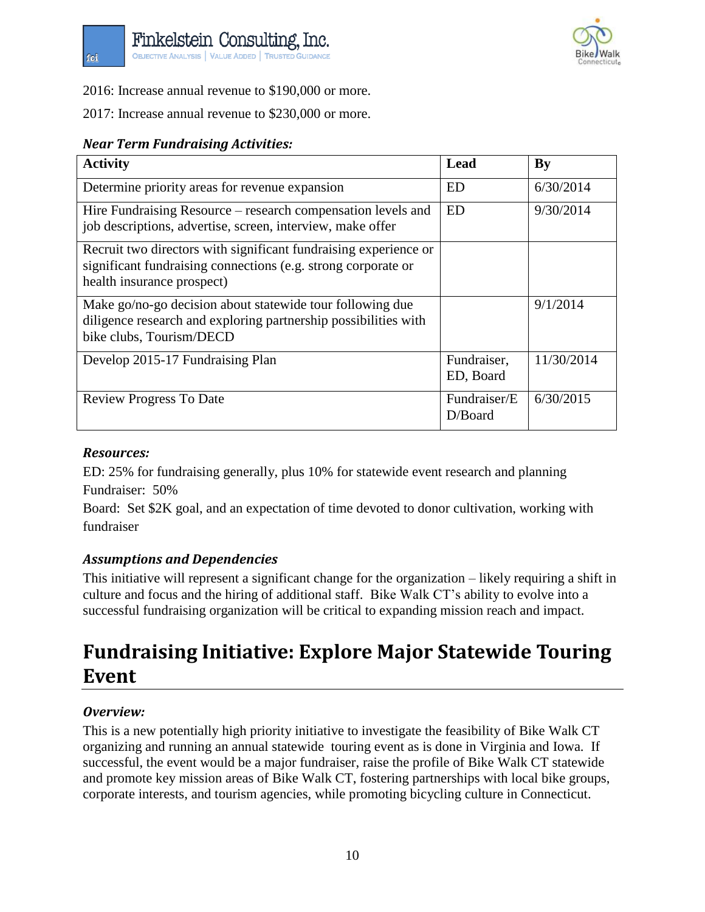

2016: Increase annual revenue to \$190,000 or more.

2017: Increase annual revenue to \$230,000 or more.

### *Near Term Fundraising Activities:*

| <b>Activity</b>                                                                                                                                                 | Lead                       | By         |
|-----------------------------------------------------------------------------------------------------------------------------------------------------------------|----------------------------|------------|
| Determine priority areas for revenue expansion                                                                                                                  | ED                         | 6/30/2014  |
| Hire Fundraising Resource – research compensation levels and<br>job descriptions, advertise, screen, interview, make offer                                      | ED                         | 9/30/2014  |
| Recruit two directors with significant fundraising experience or<br>significant fundraising connections (e.g. strong corporate or<br>health insurance prospect) |                            |            |
| Make go/no-go decision about statewide tour following due<br>diligence research and exploring partnership possibilities with<br>bike clubs, Tourism/DECD        |                            | 9/1/2014   |
| Develop 2015-17 Fundraising Plan                                                                                                                                | Fundraiser,<br>ED, Board   | 11/30/2014 |
| <b>Review Progress To Date</b>                                                                                                                                  | Fundraiser/E<br>$D/B$ oard | 6/30/2015  |

#### *Resources:*

fci

ED: 25% for fundraising generally, plus 10% for statewide event research and planning Fundraiser: 50%

Board: Set \$2K goal, and an expectation of time devoted to donor cultivation, working with fundraiser

# *Assumptions and Dependencies*

This initiative will represent a significant change for the organization – likely requiring a shift in culture and focus and the hiring of additional staff. Bike Walk CT's ability to evolve into a successful fundraising organization will be critical to expanding mission reach and impact.

# **Fundraising Initiative: Explore Major Statewide Touring Event**

# *Overview:*

This is a new potentially high priority initiative to investigate the feasibility of Bike Walk CT organizing and running an annual statewide touring event as is done in Virginia and Iowa. If successful, the event would be a major fundraiser, raise the profile of Bike Walk CT statewide and promote key mission areas of Bike Walk CT, fostering partnerships with local bike groups, corporate interests, and tourism agencies, while promoting bicycling culture in Connecticut.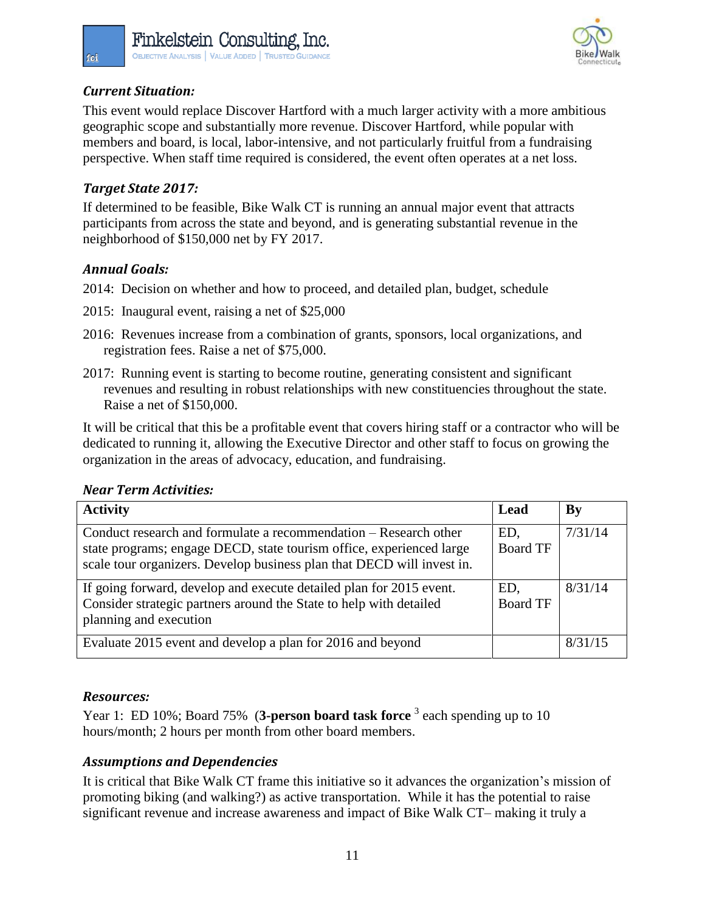

# *Current Situation:*

fci

This event would replace Discover Hartford with a much larger activity with a more ambitious geographic scope and substantially more revenue. Discover Hartford, while popular with members and board, is local, labor-intensive, and not particularly fruitful from a fundraising perspective. When staff time required is considered, the event often operates at a net loss.

### *Target State 2017:*

If determined to be feasible, Bike Walk CT is running an annual major event that attracts participants from across the state and beyond, and is generating substantial revenue in the neighborhood of \$150,000 net by FY 2017.

#### *Annual Goals:*

- 2014: Decision on whether and how to proceed, and detailed plan, budget, schedule
- 2015: Inaugural event, raising a net of \$25,000
- 2016: Revenues increase from a combination of grants, sponsors, local organizations, and registration fees. Raise a net of \$75,000.
- 2017: Running event is starting to become routine, generating consistent and significant revenues and resulting in robust relationships with new constituencies throughout the state. Raise a net of \$150,000.

It will be critical that this be a profitable event that covers hiring staff or a contractor who will be dedicated to running it, allowing the Executive Director and other staff to focus on growing the organization in the areas of advocacy, education, and fundraising.

| <b>Activity</b>                                                                                                                                                                                                    | Lead                   | $\mathbf{B}\mathbf{v}$ |
|--------------------------------------------------------------------------------------------------------------------------------------------------------------------------------------------------------------------|------------------------|------------------------|
| Conduct research and formulate a recommendation – Research other<br>state programs; engage DECD, state tourism office, experienced large<br>scale tour organizers. Develop business plan that DECD will invest in. | ED.<br><b>Board TF</b> | 7/31/14                |
| If going forward, develop and execute detailed plan for 2015 event.<br>Consider strategic partners around the State to help with detailed<br>planning and execution                                                | ED,<br><b>Board TF</b> | 8/31/14                |
| Evaluate 2015 event and develop a plan for 2016 and beyond                                                                                                                                                         |                        | 8/31/15                |

# *Near Term Activities:*

#### *Resources:*

Year 1: ED 10%; Board 75% (3-person board task force <sup>3</sup> each spending up to 10 hours/month; 2 hours per month from other board members.

# *Assumptions and Dependencies*

It is critical that Bike Walk CT frame this initiative so it advances the organization's mission of promoting biking (and walking?) as active transportation. While it has the potential to raise significant revenue and increase awareness and impact of Bike Walk CT– making it truly a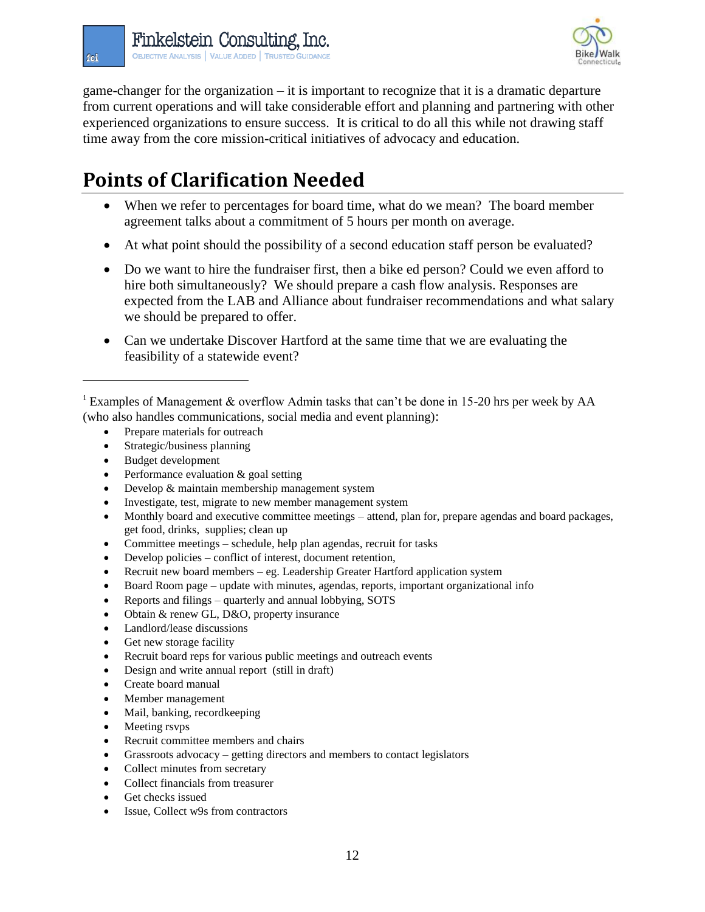

game-changer for the organization – it is important to recognize that it is a dramatic departure from current operations and will take considerable effort and planning and partnering with other experienced organizations to ensure success. It is critical to do all this while not drawing staff time away from the core mission-critical initiatives of advocacy and education.

# **Points of Clarification Needed**

- When we refer to percentages for board time, what do we mean? The board member agreement talks about a commitment of 5 hours per month on average.
- At what point should the possibility of a second education staff person be evaluated?
- Do we want to hire the fundraiser first, then a bike ed person? Could we even afford to hire both simultaneously? We should prepare a cash flow analysis. Responses are expected from the LAB and Alliance about fundraiser recommendations and what salary we should be prepared to offer.
- Can we undertake Discover Hartford at the same time that we are evaluating the feasibility of a statewide event?

- Prepare materials for outreach
- Strategic/business planning
- Budget development

 $\overline{a}$ 

fci

- Performance evaluation & goal setting
- Develop & maintain membership management system
- Investigate, test, migrate to new member management system
- Monthly board and executive committee meetings attend, plan for, prepare agendas and board packages, get food, drinks, supplies; clean up
- Committee meetings schedule, help plan agendas, recruit for tasks
- Develop policies conflict of interest, document retention,
- Recruit new board members eg. Leadership Greater Hartford application system
- Board Room page update with minutes, agendas, reports, important organizational info
- Reports and filings quarterly and annual lobbying, SOTS
- Obtain & renew GL, D&O, property insurance
- Landlord/lease discussions
- Get new storage facility
- Recruit board reps for various public meetings and outreach events
- Design and write annual report (still in draft)
- Create board manual
- Member management
- Mail, banking, recordkeeping
- Meeting rsvps
- Recruit committee members and chairs
- Grassroots advocacy getting directors and members to contact legislators
- Collect minutes from secretary
- Collect financials from treasurer
- Get checks issued
- Issue, Collect w9s from contractors

<sup>1</sup> Examples of Management & overflow Admin tasks that can't be done in 15-20 hrs per week by AA (who also handles communications, social media and event planning):